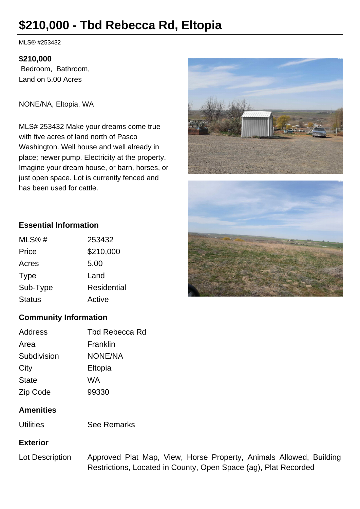# **\$210,000 - Tbd Rebecca Rd, Eltopia**

MLS® #253432

#### **\$210,000**

 Bedroom, Bathroom, Land on 5.00 Acres

NONE/NA, Eltopia, WA

MLS# 253432 Make your dreams come true with five acres of land north of Pasco Washington. Well house and well already in place; newer pump. Electricity at the property. Imagine your dream house, or barn, horses, or just open space. Lot is currently fenced and has been used for cattle.





## **Essential Information**

| MLS@#         | 253432      |
|---------------|-------------|
| Price         | \$210,000   |
| Acres         | 5.00        |
| Type          | Land        |
| Sub-Type      | Residential |
| <b>Status</b> | Active      |
|               |             |

## **Community Information**

| Address      | Tbd Rebecca Rd |
|--------------|----------------|
| Area         | Franklin       |
| Subdivision  | <b>NONE/NA</b> |
| City         | Eltopia        |
| <b>State</b> | WA             |
| Zip Code     | 99330          |

## **Amenities**

| <b>See Remarks</b> |
|--------------------|
|                    |

#### **Exterior**

Lot Description Approved Plat Map, View, Horse Property, Animals Allowed, Building Restrictions, Located in County, Open Space (ag), Plat Recorded